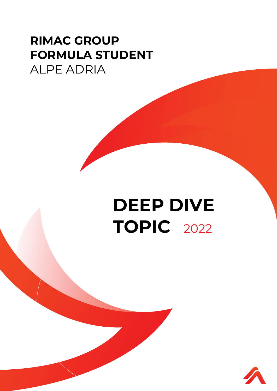## **RIMAC GROUP FORMULA STUDENT** ALPE ADRIA

## **DEEP DIVE TOPIC** 2022